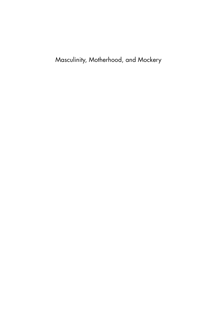Masculinity, Motherhood, and Mockery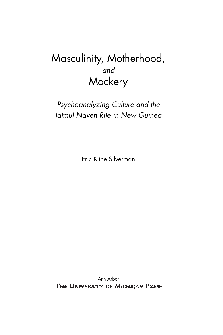# Masculinity, Motherhood, and **Mockery**

Psychoanalyzing Culture and the Iatmul Naven Rite in New Guinea

Eric Kline Silverman

Ann ArborTHE UNIVERSITY OF MICHIGAN PRESS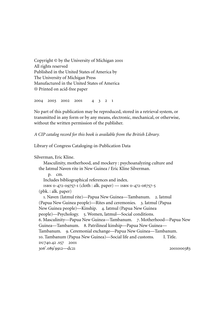Copyright © by the University of Michigan 2001 All rights reserved Published in the United States of America by The University of Michigan Press Manufactured in the United States of America  $@$  Printed on acid-free paper

2004 2003 2002 2001 4 3 2 1

No part of this publication may be reproduced, stored in a retrieval system, or transmitted in any form or by any means, electronic, mechanical, or otherwise, without the written permission of the publisher.

*A CIP catalog record for this book is available from the British Library.*

Library of Congress Cataloging-in-Publication Data

Silverman, Eric Kline.

Masculinity, motherhood, and mockery : psychoanalyzing culture and the Iatmul Naven rite in New Guinea / Eric Kline Silverman. p. cm. Includes bibliographical references and index. isbn 0-472-09757-1 (cloth : alk. paper) — isbn 0-472-06757-5 (pbk. : alk. paper) 1. Naven (Iatmul rite)—Papua New Guinea—Tambanum. 2. Iatmul (Papua New Guinea people)—Rites and ceremonies. 3. Iatmul (Papua New Guinea people)—Kinship. 4. Iatmul (Papua New Guinea people)—Psychology. 5. Women, Iatmul—Social conditions. 6. Masculinity—Papua New Guinea—Tambanum. 7. Motherhood—Papua New Guinea—Tambanum. 8. Patrilineal kinship—Papua New Guinea— Tambanum. 9. Ceremonial exchange—Papua New Guinea—Tambanum. 10. Tambanum (Papua New Guinea)—Social life and customs. I. Title. du740.42 .s57 2001 306'.089'9912—dc21 2001000383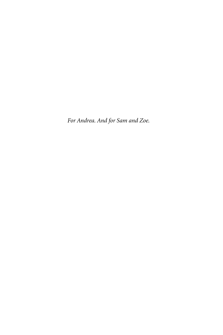*For Andrea. And for Sam and Zoe.*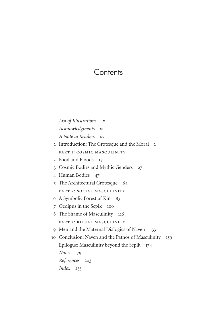### **Contents**

*List of Illustrations* ix *Acknowledgments* xi *A Note to Readers* xv 1 Introduction: The Grotesque and the Moral 1 PART 1: COSMIC MASCULINITY 2 Food and Floods 15 3 Cosmic Bodies and Mythic Genders 27 4 Human Bodies 47 5 The Architectural Grotesque 64 PART 2: SOCIAL MASCULINITY 6 A Symbolic Forest of Kin 83 7 Oedipus in the Sepik 100 8 The Shame of Masculinity 116 PART 3: RITUAL MASCULINITY 9 Men and the Maternal Dialogics of Naven 133 10 Conclusion: Naven and the Pathos of Masculinity 159 Epilogue: Masculinity beyond the Sepik 174 *Notes* 179 *References* 203 *Index* 233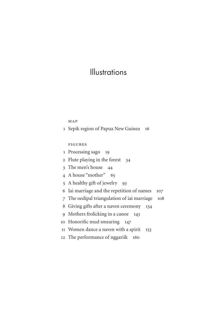# Illustrations

#### MAP

1 Sepik region of Papua New Guinea 16

#### **FIGURES**

1 Processing sago 19

2 Flute playing in the forest 34

3 The men's house 44

4 A house "mother" 65

5 A healthy gift of jewelry 93

6 Iai marriage and the repetition of names 107

7 The oedipal triangulation of iai marriage 108

8 Giving gifts after a naven ceremony 134

9 Mothers frolicking in a canoe 143

10 Honorific mud smearing 147

11 Women dance a naven with a spirit 153

12 The performance of nggariik 160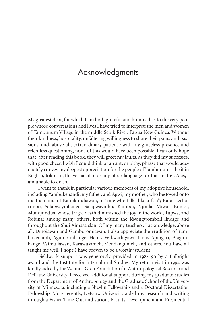### Acknowledgments

My greatest debt, for which I am both grateful and humbled, is to the very people whose conversations and lives I have tried to interpret: the men and women of Tambunum Village in the middle Sepik River, Papua New Guinea. Without their kindness, hospitality, unfaltering willingness to share their pains and passions, and, above all, extraordinary patience with my graceless presence and relentless questioning, none of this would have been possible. I can only hope that, after reading this book, they will greet my faults, as they did my successes, with good cheer. I wish I could think of an apt, or pithy, phrase that would adequately convey my deepest appreciation for the people of Tambunum—be it in English, tokpisin, the vernacular, or any other language for that matter. Alas, I am unable to do so.

I want to thank in particular various members of my adoptive household, including Yambukenandi, my father, and Agwi, my mother, who bestowed onto me the name of Kamikundiawan, or "one who talks like a fish"; Kara, Lecharimbo, Salapwaymbange, Salapwaymbo; Kamboi, Njoula, Miwai; Bonjoi, Mundjiindua, whose tragic death diminished the joy in the world, Tupwa, and Robina; among many others, both within the Kwongwomboli lineage and throughout the Shui Aimasa clan. Of my many teachers, I acknowledge, above all, Dmoiawan and Gamboromiawan. I also appreciate the erudition of Yambukenandi, Agumoimbange, Henry Wikwarlngawi, Linus Apingari, Biagimbange, Vaimuliawan, Karawusameli, Mendangumeli, and others. You have all taught me well. I hope I have proven to be a worthy student.

Fieldwork support was generously provided in 1988–90 by a Fulbright award and the Institute for Intercultural Studies. My return visit in 1994 was kindly aided by the Wenner-Gren Foundation for Anthropological Research and DePauw University. I received additional support during my graduate studies from the Department of Anthropology and the Graduate School of the University of Minnesota, including a Shevlin Fellowship and a Doctoral Dissertation Fellowship. More recently, DePauw University aided my research and writing through a Fisher Time-Out and various Faculty Development and Presidential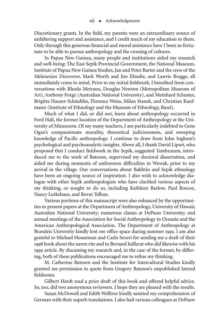Discretionary grants. In the field, my parents were an extraordinary source of unfaltering support and assistance, and I credit much of my education to them. Only through this generous financial and moral assistance have I been so fortunate to be able to pursue anthropology and the crossing of cultures.

In Papua New Guinea, many people and institutions aided my research and well-being: The East Sepik Provincial Government, the National Museum, Institute of Papua New Guinea Studies, Jan and Peter Barter and the crew of the *Melanesian Discoverer,* Mark Worth and Jim Elmslie, and Lawrie Bragge, all immediately come to mind. Prior to my initial fieldwork, I benefited from conversations with Rhoda Metraux, Douglas Newton (Metropolitan Museum of Art), Anthony Forge (Australian National University), and Meinhard Schuster, Brigitta Hauser-Schäublin, Florence Weiss, Milan Stanek, and Christian Kaufmann (Institute of Ethnology and the Museum of Ethnology, Basel).

Much of what I did, or did not, learn about anthropology occurred in Ford Hall, the former location of the Department of Anthropology at the University of Minnesota. Of my many teachers, I am particularly indebted to Gene Ogan's compassionate morality, theoretical judiciousness, and sweeping knowledge of Pacific anthropology. I continue to draw from John Ingham's psychological and psychoanalytic insights. Above all, I thank David Lipset, who proposed that I conduct fieldwork in the Sepik, suggested Tambunum, introduced me to the work of Bateson, supervised my doctoral dissertation, and aided me during moments of unforeseen difficulties in Wewak, prior to my arrival in the village. Our conversations about Bakhtin and Sepik ethnology have been an ongoing source of inspiration. I also wish to acknowledge dialogue with other Sepik anthropologists who have clarified various aspects of my thinking, or sought to do so, including Kathleen Barlow, Paul Roscoe, Nancy Lutkehaus, and Borut Telban.

Various portions of this manuscript were also enhanced by the opportunities to present papers at the Department of Anthropology, University of Hawaii; Australian National University; numerous classes at DePauw University; and annual meetings of the Association for Social Anthropology in Oceania and the American Anthropological Association. The Department of Anthropology at Brandeis University kindly lent me office space during summer 1995. I am also grateful to Michael Houseman and Carlo Severi for sending me a draft of their 1998 book about the naven rite and to Bernard Juillerat who did likewise with his 1999 article. By discussing my research and, in the case of the former, by differing, both of these publications encouraged me to refine my thinking.

M. Catherine Bateson and the Institute for Intercultural Studies kindly granted me permission to quote from Gregory Bateson's unpublished Iatmul **fieldnotes** 

Gilbert Herdt read a prior draft of this book and offered helpful advice. So, too, did two anonymous reviewers. I hope they are pleased with the results.

Susan McDowell and Edith Welliver kindly assisted my comprehension of German with their superb translations. I also hail various colleagues at DePauw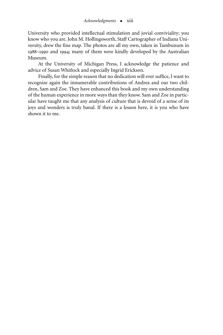University who provided intellectual stimulation and jovial conviviality; you know who you are. John M. Hollingsworth, Staff Cartographer of Indiana University, drew the fine map. The photos are all my own, taken in Tambunum in 1988–1990 and 1994; many of them were kindly developed by the Australian Museum.

At the University of Michigan Press, I acknowledge the patience and advice of Susan Whitlock and especially Ingrid Erickson.

Finally, for the simple reason that no dedication will ever suffice, I want to recognize again the innumerable contributions of Andrea and our two children, Sam and Zoe. They have enhanced this book and my own understanding of the human experience in more ways than they know. Sam and Zoe in particular have taught me that any analysis of culture that is devoid of a sense of its joys and wonders is truly banal. If there is a lesson here, it is you who have shown it to me.